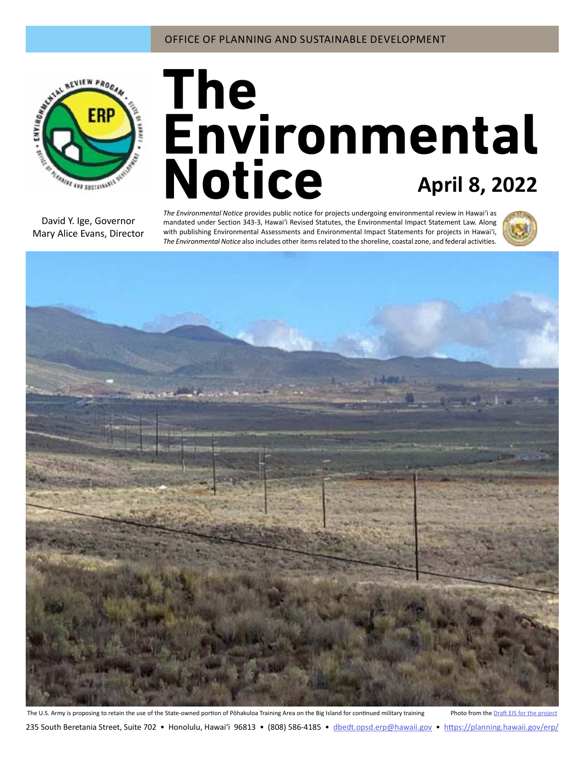

# **April 8, 2022**

David Y. Ige, Governor Mary Alice Evans, Director

*The Environmental Notice* provides public notice for projects undergoing environmental review in Hawaiʻi as mandated under Section 343-3, Hawaiʻi Revised Statutes, the Environmental Impact Statement Law. Along with publishing Environmental Assessments and Environmental Impact Statements for projects in Hawai'i, *The Environmental Notice* also includes other items related to the shoreline, coastal zone, and federal activities.





The U.S. Army is proposing to retain the use of the State-owned portion of Pōhakuloa Training Area on the Big Island for continued military training Photo from the [Draft EIS for the project](#page-2-0) 235 South Beretania Street, Suite 702 • Honolulu, Hawai'i 96813 • (808) 586-4185 • dbedt.opsd.erp[@hawaii.gov](mailto:dbedt.opsd.erp%40hawaii.gov?subject=) • <https://planning.hawaii.gov/erp/>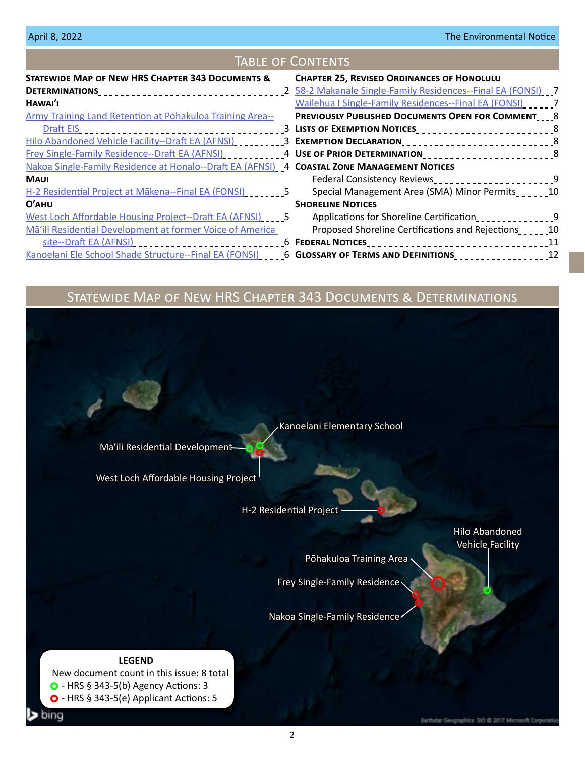| <b>TABLE OF CONTENTS</b>                                                                    |                                                                                                                             |  |
|---------------------------------------------------------------------------------------------|-----------------------------------------------------------------------------------------------------------------------------|--|
| <b>STATEWIDE MAP OF NEW HRS CHAPTER 343 DOCUMENTS &amp;</b>                                 | <b>CHAPTER 25, REVISED ORDINANCES OF HONOLULU</b>                                                                           |  |
|                                                                                             |                                                                                                                             |  |
| HAWAI'I                                                                                     | Wailehua I Single-Family Residences--Final EA (FONSI)                                                                       |  |
| <b>Army Training Land Retention at Pohakuloa Training Area--</b>                            | <b>PREVIOUSLY PUBLISHED DOCUMENTS OPEN FOR COMMENT 8</b>                                                                    |  |
| Draft EIS                                                                                   | -------------------------------------3  LISTS OF EXEMPTION NOTICES_____________________________8                            |  |
|                                                                                             | Hilo Abandoned Vehicle Facility--Draft EA (AFNSI) ___________3 EXEMPTION DECLARATION________________________________8       |  |
|                                                                                             | <u>Frey Single-Family Residence--Draft EA (AFNSI)</u> ____________4 USE OF PRIOR DETERMINATION____________________________8 |  |
| Nakoa Single-Family Residence at Honalo--Draft EA (AFNSI) 4 COASTAL ZONE MANAGEMENT NOTICES |                                                                                                                             |  |
| <b>MAUI</b>                                                                                 | Federal Consistency Reviews___________________________9                                                                     |  |
| H-2 Residential Project at Mākena--Final EA (FONSI) [1] [1] [5]                             | Special Management Area (SMA) Minor Permits                                                                                 |  |
| $O'$ AHU                                                                                    | <b>SHORELINE NOTICES</b>                                                                                                    |  |
| West Loch Affordable Housing Project--Draft EA (AFNSI)                                      | Applications for Shoreline Certification<br>1992 - Paris Longeline Shoplication                                             |  |
| Mā'ili Residential Development at former Voice of America                                   | Proposed Shoreline Certifications and Rejections                                                                            |  |
|                                                                                             | <u>site--Draft EA (AFNSI)</u> __________________________________6 FEDERAL NOTICES_________________________________11        |  |
|                                                                                             | Kanoelani Ele School Shade Structure--Final EA (FONSI) ____6 GLOSSARY OF TERMS AND DEFINITIONS _______________12            |  |

# Statewide Map of New HRS Chapter 343 Documents & Determinations

Mā'ili Residential Development-

[West Loch Affordable Housing Project](#page-4-0)

[H-2 Residential Project](#page-4-0)

[Hilo Abandoned](#page-2-0)  [Vehicle Facility](#page-2-0)

[Pōhakuloa Training Area](#page-2-0)

[Frey Single-Family Residence](#page-3-0)

[Kanoelani Elementary School](#page-5-0)

[Nakoa Single-Family Residence](#page-3-0)

#### **LEGEND**

bing

 New document count in this issue: 8 total  $\bullet$  - HRS § 343-5(b) Agency Actions: 3 O - HRS § 343-5(e) Applicant Actions: 5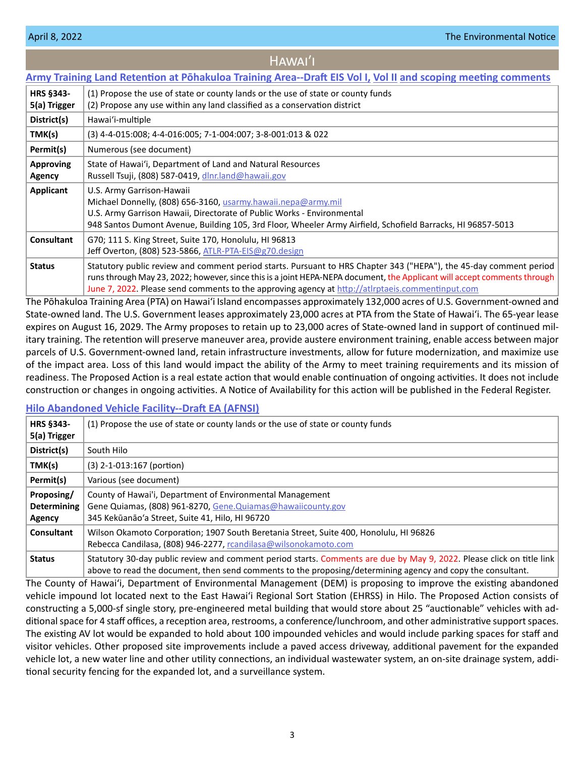<span id="page-2-0"></span>

| HAWAI'I                                                                                                              |                                                                                                                                                                                                                                                                                                                                                    |  |
|----------------------------------------------------------------------------------------------------------------------|----------------------------------------------------------------------------------------------------------------------------------------------------------------------------------------------------------------------------------------------------------------------------------------------------------------------------------------------------|--|
| <u>Army Training Land Retention at Pōhakuloa Training Area--Draft EIS Vol I, Vol II and scoping meeting comments</u> |                                                                                                                                                                                                                                                                                                                                                    |  |
| <b>HRS §343-</b><br>5(a) Trigger                                                                                     | (1) Propose the use of state or county lands or the use of state or county funds<br>(2) Propose any use within any land classified as a conservation district                                                                                                                                                                                      |  |
| District(s)                                                                                                          | Hawai'i-multiple                                                                                                                                                                                                                                                                                                                                   |  |
| TMK(s)                                                                                                               | (3) 4-4-015:008; 4-4-016:005; 7-1-004:007; 3-8-001:013 & 022                                                                                                                                                                                                                                                                                       |  |
| Permit(s)                                                                                                            | Numerous (see document)                                                                                                                                                                                                                                                                                                                            |  |
| <b>Approving</b><br><b>Agency</b>                                                                                    | State of Hawai'i, Department of Land and Natural Resources<br>Russell Tsuji, (808) 587-0419, dlnr.land@hawaii.gov                                                                                                                                                                                                                                  |  |
| Applicant                                                                                                            | U.S. Army Garrison-Hawaii<br>Michael Donnelly, (808) 656-3160, usarmy.hawaii.nepa@army.mil<br>U.S. Army Garrison Hawaii, Directorate of Public Works - Environmental<br>948 Santos Dumont Avenue, Building 105, 3rd Floor, Wheeler Army Airfield, Schofield Barracks, HI 96857-5013                                                                |  |
| <b>Consultant</b>                                                                                                    | G70; 111 S. King Street, Suite 170, Honolulu, HI 96813<br>Jeff Overton, (808) 523-5866, ATLR-PTA-EIS@g70.design                                                                                                                                                                                                                                    |  |
| <b>Status</b>                                                                                                        | Statutory public review and comment period starts. Pursuant to HRS Chapter 343 ("HEPA"), the 45-day comment period<br>runs through May 23, 2022; however, since this is a joint HEPA-NEPA document, the Applicant will accept comments through<br>June 7, 2022. Please send comments to the approving agency at http://atlrptaeis.commentinput.com |  |

The Pōhakuloa Training Area (PTA) on Hawai'i Island encompasses approximately 132,000 acres of U.S. Government-owned and State-owned land. The U.S. Government leases approximately 23,000 acres at PTA from the State of Hawaiʻi. The 65-year lease expires on August 16, 2029. The Army proposes to retain up to 23,000 acres of State-owned land in support of continued military training. The retention will preserve maneuver area, provide austere environment training, enable access between major parcels of U.S. Government-owned land, retain infrastructure investments, allow for future modernization, and maximize use of the impact area. Loss of this land would impact the ability of the Army to meet training requirements and its mission of readiness. The Proposed Action is a real estate action that would enable continuation of ongoing activities. It does not include construction or changes in ongoing activities. A Notice of Availability for this action will be published in the Federal Register.

#### **[Hilo Abandoned Vehicle Facility--Draft EA \(AFNSI\)](https://files.hawaii.gov/dbedt/erp/Doc_Library/2022-04-08-HA-DEA-Hilo-Abandoned-Vehicle-Facility.pdf)**

| <b>HRS §343-</b><br>5(a) Trigger           | (1) Propose the use of state or county lands or the use of state or county funds                                                                                                                                                     |
|--------------------------------------------|--------------------------------------------------------------------------------------------------------------------------------------------------------------------------------------------------------------------------------------|
| District(s)                                | South Hilo                                                                                                                                                                                                                           |
| TMK(s)                                     | $(3)$ 2-1-013:167 (portion)                                                                                                                                                                                                          |
| Permit(s)                                  | Various (see document)                                                                                                                                                                                                               |
| Proposing/<br><b>Determining</b><br>Agency | County of Hawai'i, Department of Environmental Management<br>Gene Quiamas, (808) 961-8270, Gene. Quiamas@hawaiicounty.gov<br>345 Kekūanāo'a Street, Suite 41, Hilo, HI 96720                                                         |
| Consultant                                 | Wilson Okamoto Corporation; 1907 South Beretania Street, Suite 400, Honolulu, HI 96826<br>Rebecca Candilasa, (808) 946-2277, rcandilasa@wilsonokamoto.com                                                                            |
| <b>Status</b>                              | Statutory 30-day public review and comment period starts. Comments are due by May 9, 2022. Please click on title link<br>above to read the document, then send comments to the proposing/determining agency and copy the consultant. |

The County of Hawai'i, Department of Environmental Management (DEM) is proposing to improve the existing abandoned vehicle impound lot located next to the East Hawai'i Regional Sort Station (EHRSS) in Hilo. The Proposed Action consists of constructing a 5,000-sf single story, pre-engineered metal building that would store about 25 "auctionable" vehicles with additional space for 4 staff offices, a reception area, restrooms, a conference/lunchroom, and other administrative support spaces. The existing AV lot would be expanded to hold about 100 impounded vehicles and would include parking spaces for staff and visitor vehicles. Other proposed site improvements include a paved access driveway, additional pavement for the expanded vehicle lot, a new water line and other utility connections, an individual wastewater system, an on-site drainage system, additional security fencing for the expanded lot, and a surveillance system.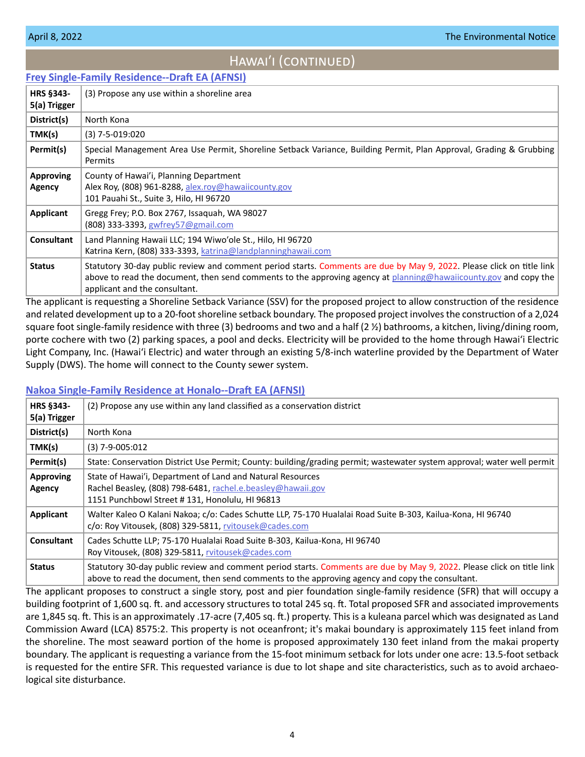# HAWAI'I (CONTINUED)

# <span id="page-3-0"></span>**[Frey Single-Family Residence--Draft EA \(AFNSI\)](https://files.hawaii.gov/dbedt/erp/Doc_Library/2022-04-08-HA-DEA-Frey-Single-Family-Residence.pdf)**

| <b>HRS §343-</b><br>5(a) Trigger | (3) Propose any use within a shoreline area                                                                                                                                                                                                                                |
|----------------------------------|----------------------------------------------------------------------------------------------------------------------------------------------------------------------------------------------------------------------------------------------------------------------------|
| District(s)                      | North Kona                                                                                                                                                                                                                                                                 |
| TMK(s)                           | $(3)$ 7-5-019:020                                                                                                                                                                                                                                                          |
| Permit(s)                        | Special Management Area Use Permit, Shoreline Setback Variance, Building Permit, Plan Approval, Grading & Grubbing<br>Permits                                                                                                                                              |
| <b>Approving</b><br>Agency       | County of Hawai'i, Planning Department<br>Alex Roy, (808) 961-8288, alex.roy@hawaiicounty.gov<br>101 Pauahi St., Suite 3, Hilo, HI 96720                                                                                                                                   |
| Applicant                        | Gregg Frey; P.O. Box 2767, Issaquah, WA 98027<br>(808) 333-3393, gwfrey57@gmail.com                                                                                                                                                                                        |
| Consultant                       | Land Planning Hawaii LLC; 194 Wiwo'ole St., Hilo, HI 96720<br>Katrina Kern, (808) 333-3393, katrina@landplanninghawaii.com                                                                                                                                                 |
| <b>Status</b>                    | Statutory 30-day public review and comment period starts. Comments are due by May 9, 2022. Please click on title link<br>above to read the document, then send comments to the approving agency at planning@hawaiicounty.gov and copy the<br>applicant and the consultant. |

The applicant is requesting a Shoreline Setback Variance (SSV) for the proposed project to allow construction of the residence and related development up to a 20-foot shoreline setback boundary. The proposed project involves the construction of a 2,024 square foot single-family residence with three (3) bedrooms and two and a half (2 %) bathrooms, a kitchen, living/dining room, porte cochere with two (2) parking spaces, a pool and decks. Electricity will be provided to the home through Hawai'i Electric Light Company, Inc. (Hawaiʻi Electric) and water through an existing 5/8-inch waterline provided by the Department of Water Supply (DWS). The home will connect to the County sewer system.

#### **[Nakoa Single-Family Residence at Honalo--Draft EA \(AFNSI\)](https://files.hawaii.gov/dbedt/erp/Doc_Library/2022-04-08-HA-DEA-Nakoa-Single-Family-Residence-at-Honalo.pdf)**

| HRS §343-<br>5(a) Trigger  | (2) Propose any use within any land classified as a conservation district                                                                                                                                                |
|----------------------------|--------------------------------------------------------------------------------------------------------------------------------------------------------------------------------------------------------------------------|
| District(s)                | North Kona                                                                                                                                                                                                               |
| TMK(s)                     | $(3)$ 7-9-005:012                                                                                                                                                                                                        |
| Permit(s)                  | State: Conservation District Use Permit; County: building/grading permit; wastewater system approval; water well permit                                                                                                  |
| <b>Approving</b><br>Agency | State of Hawai'i, Department of Land and Natural Resources<br>Rachel Beasley, (808) 798-6481, rachel.e.beasley@hawaii.gov<br>1151 Punchbowl Street #131, Honolulu, HI 96813                                              |
| Applicant                  | Walter Kaleo O Kalani Nakoa; c/o: Cades Schutte LLP, 75-170 Hualalai Road Suite B-303, Kailua-Kona, HI 96740<br>$c$ /o: Roy Vitousek, (808) 329-5811, rvitousek@cades.com                                                |
| <b>Consultant</b>          | Cades Schutte LLP; 75-170 Hualalai Road Suite B-303, Kailua-Kona, HI 96740<br>Roy Vitousek, (808) 329-5811, rvitousek@cades.com                                                                                          |
| <b>Status</b>              | Statutory 30-day public review and comment period starts. Comments are due by May 9, 2022. Please click on title link<br>above to read the document, then send comments to the approving agency and copy the consultant. |

The applicant proposes to construct a single story, post and pier foundation single-family residence (SFR) that will occupy a building footprint of 1,600 sq. ft. and accessory structures to total 245 sq. ft. Total proposed SFR and associated improvements are 1,845 sq. ft. This is an approximately .17-acre (7,405 sq. ft.) property. This is a kuleana parcel which was designated as Land Commission Award (LCA) 8575:2. This property is not oceanfront; it's makai boundary is approximately 115 feet inland from the shoreline. The most seaward portion of the home is proposed approximately 130 feet inland from the makai property boundary. The applicant is requesting a variance from the 15-foot minimum setback for lots under one acre: 13.5-foot setback is requested for the entire SFR. This requested variance is due to lot shape and site characteristics, such as to avoid archaeological site disturbance.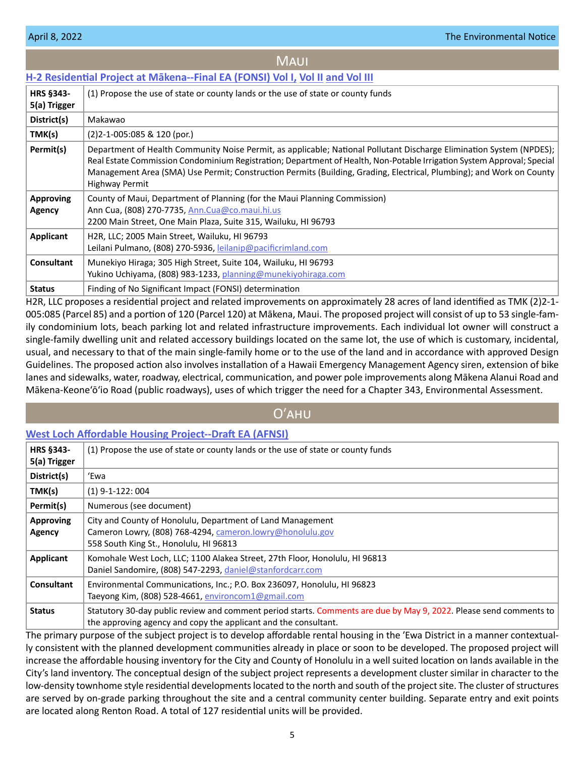#### <span id="page-4-0"></span>**[H-2 Residential Project at Mākena--Final EA \(FONSI\) Vol I,](https://files.hawaii.gov/dbedt/erp/Doc_Library/2022-04-08-MA-FEA-H-2-Residential-Project-at-Makena-Vol-I.pdf) [Vol II](https://files.hawaii.gov/dbedt/erp/Doc_Library/2022-04-08-MA-FEA-H-2-Residential-Project-at-Makena-Vol-II.pdf) [and Vol III](https://files.hawaii.gov/dbedt/erp/Doc_Library/2022-04-08-MA-FEA-H-2-Residential-Project-at-Makena-Vol-III.pdf) HRS §343- 5(a) Trigger** (1) Propose the use of state or county lands or the use of state or county funds **District(s)** Makawao **TMK(s)** (2)2-1-005:085 & 120 (por.) **Permit(s)** Department of Health Community Noise Permit, as applicable; National Pollutant Discharge Elimination System (NPDES); Real Estate Commission Condominium Registration; Department of Health, Non-Potable Irrigation System Approval; Special Management Area (SMA) Use Permit; Construction Permits (Building, Grading, Electrical, Plumbing); and Work on County Highway Permit **Approving Agency** County of Maui, Department of Planning (for the Maui Planning Commission) Ann Cua, (808) 270-7735, [Ann.Cua@co.maui.hi.us](mailto:Ann.Cua%40co.maui.hi.us?subject=) **MAUI**

| 2200 Main Street, One Main Plaza, Suite 315, Wailuku, HI 96793                                                                          |  |  |
|-----------------------------------------------------------------------------------------------------------------------------------------|--|--|
| Applicant<br>H <sub>2R</sub> , LLC; 2005 Main Street, Wailuku, HI 96793<br>Leilani Pulmano, (808) 270-5936, leilanip@pacificrimland.com |  |  |
|                                                                                                                                         |  |  |
| Munekiyo Hiraga; 305 High Street, Suite 104, Wailuku, HI 96793<br><b>Consultant</b>                                                     |  |  |
| Yukino Uchiyama, (808) 983-1233, planning@munekiyohiraga.com                                                                            |  |  |
| Finding of No Significant Impact (FONSI) determination<br><b>Status</b>                                                                 |  |  |

H2R, LLC proposes a residential project and related improvements on approximately 28 acres of land identified as TMK (2)2-1- 005:085 (Parcel 85) and a portion of 120 (Parcel 120) at Mākena, Maui. The proposed project will consist of up to 53 single-family condominium lots, beach parking lot and related infrastructure improvements. Each individual lot owner will construct a single-family dwelling unit and related accessory buildings located on the same lot, the use of which is customary, incidental, usual, and necessary to that of the main single-family home or to the use of the land and in accordance with approved Design Guidelines. The proposed action also involves installation of a Hawaii Emergency Management Agency siren, extension of bike lanes and sidewalks, water, roadway, electrical, communication, and power pole improvements along Mākena Alanui Road and Mākena-Keone'ō'io Road (public roadways), uses of which trigger the need for a Chapter 343, Environmental Assessment.

# Oʹahu

#### **[West Loch Affordable Housing Project--Draft EA \(AFNSI\)](https://files.hawaii.gov/dbedt/erp/Doc_Library/2022-04-08-OA-DEA-West-Loch-Affordable-Housing.pdf)**

| <b>HRS §343-</b><br>5(a) Trigger | (1) Propose the use of state or county lands or the use of state or county funds                                                                                                      |
|----------------------------------|---------------------------------------------------------------------------------------------------------------------------------------------------------------------------------------|
| District(s)                      | 'Ewa                                                                                                                                                                                  |
| TMK(s)                           | $(1)$ 9-1-122: 004                                                                                                                                                                    |
| Permit(s)                        | Numerous (see document)                                                                                                                                                               |
| <b>Approving</b><br>Agency       | City and County of Honolulu, Department of Land Management<br>Cameron Lowry, (808) 768-4294, cameron.lowry@honolulu.gov<br>558 South King St., Honolulu, HI 96813                     |
| Applicant                        | Komohale West Loch, LLC; 1100 Alakea Street, 27th Floor, Honolulu, HI 96813<br>Daniel Sandomire, (808) 547-2293, daniel@stanfordcarr.com                                              |
| <b>Consultant</b>                | Environmental Communications, Inc.; P.O. Box 236097, Honolulu, HI 96823<br>Taeyong Kim, (808) 528-4661, environcom1@gmail.com                                                         |
| <b>Status</b>                    | Statutory 30-day public review and comment period starts. Comments are due by May 9, 2022. Please send comments to<br>the approving agency and copy the applicant and the consultant. |

The primary purpose of the subject project is to develop affordable rental housing in the 'Ewa District in a manner contextually consistent with the planned development communities already in place or soon to be developed. The proposed project will increase the affordable housing inventory for the City and County of Honolulu in a well suited location on lands available in the City's land inventory. The conceptual design of the subject project represents a development cluster similar in character to the low-density townhome style residential developments located to the north and south of the project site. The cluster of structures are served by on-grade parking throughout the site and a central community center building. Separate entry and exit points are located along Renton Road. A total of 127 residential units will be provided.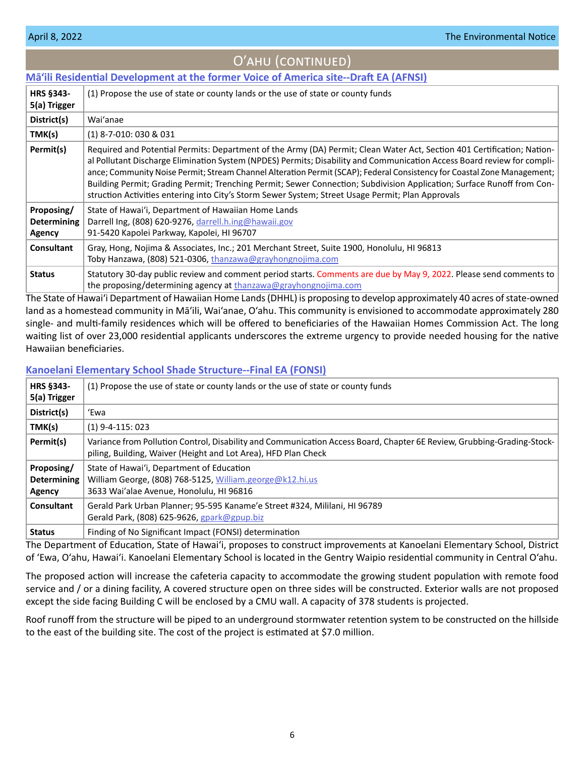<span id="page-5-0"></span>

| $\sim$ , $\sim$ , $\sim$ , $\sim$ , $\sim$ , $\sim$ , $\sim$ , $\sim$ |                                                                                                                                                                                                                                                                                                                                                                                                                                                                                                                                                                                                              |
|-----------------------------------------------------------------------|--------------------------------------------------------------------------------------------------------------------------------------------------------------------------------------------------------------------------------------------------------------------------------------------------------------------------------------------------------------------------------------------------------------------------------------------------------------------------------------------------------------------------------------------------------------------------------------------------------------|
|                                                                       | Mā'ili Residential Development at the former Voice of America site--Draft EA (AFNSI)                                                                                                                                                                                                                                                                                                                                                                                                                                                                                                                         |
| <b>HRS §343-</b><br>5(a) Trigger                                      | (1) Propose the use of state or county lands or the use of state or county funds                                                                                                                                                                                                                                                                                                                                                                                                                                                                                                                             |
| District(s)                                                           | Wai'anae                                                                                                                                                                                                                                                                                                                                                                                                                                                                                                                                                                                                     |
| TMK(s)                                                                | $(1)$ 8-7-010: 030 & 031                                                                                                                                                                                                                                                                                                                                                                                                                                                                                                                                                                                     |
| Permit(s)                                                             | Required and Potential Permits: Department of the Army (DA) Permit; Clean Water Act, Section 401 Certification; Nation-<br>al Pollutant Discharge Elimination System (NPDES) Permits; Disability and Communication Access Board review for compli-<br>ance; Community Noise Permit; Stream Channel Alteration Permit (SCAP); Federal Consistency for Coastal Zone Management;<br>Building Permit; Grading Permit; Trenching Permit; Sewer Connection; Subdivision Application; Surface Runoff from Con-<br>struction Activities entering into City's Storm Sewer System; Street Usage Permit; Plan Approvals |
| Proposing/<br><b>Determining</b><br>Agency                            | State of Hawai'i, Department of Hawaiian Home Lands<br>Darrell Ing, (808) 620-9276, darrell.h.ing@hawaii.gov<br>91-5420 Kapolei Parkway, Kapolei, HI 96707                                                                                                                                                                                                                                                                                                                                                                                                                                                   |
| <b>Consultant</b>                                                     | Gray, Hong, Nojima & Associates, Inc.; 201 Merchant Street, Suite 1900, Honolulu, HI 96813<br>Toby Hanzawa, (808) 521-0306, thanzawa@grayhongnojima.com                                                                                                                                                                                                                                                                                                                                                                                                                                                      |
| <b>Status</b>                                                         | Statutory 30-day public review and comment period starts. Comments are due by May 9, 2022. Please send comments to<br>the proposing/determining agency at $\frac{1}{2}$ thanzawa@grayhongnojima.com                                                                                                                                                                                                                                                                                                                                                                                                          |

Oʹahu (continued)

# The State of Hawaiʻi Department of Hawaiian Home Lands (DHHL) is proposing to develop approximately 40 acres of state-owned land as a homestead community in Mā'ili, Wai'anae, O'ahu. This community is envisioned to accommodate approximately 280 single- and multi-family residences which will be offered to beneficiaries of the Hawaiian Homes Commission Act. The long waiting list of over 23,000 residential applicants underscores the extreme urgency to provide needed housing for the native Hawaiian beneficiaries.

# **[Kanoelani Elementary School Shade Structure--Final EA \(FONSI\)](https://files.hawaii.gov/dbedt/erp/Doc_Library/2022-04-08-OA-FEA-Kanoelani-Elementary-School-Shade-Structure.pdf)**

| <b>HRS §343-</b><br>5(a) Trigger           | (1) Propose the use of state or county lands or the use of state or county funds                                                                                                         |
|--------------------------------------------|------------------------------------------------------------------------------------------------------------------------------------------------------------------------------------------|
| District(s)                                | 'Ewa                                                                                                                                                                                     |
| TMK(s)                                     | $(1)$ 9-4-115: 023                                                                                                                                                                       |
| Permit(s)                                  | Variance from Pollution Control, Disability and Communication Access Board, Chapter 6E Review, Grubbing-Grading-Stock-<br>piling, Building, Waiver (Height and Lot Area), HFD Plan Check |
| Proposing/<br><b>Determining</b><br>Agency | State of Hawai'i, Department of Education<br>William George, (808) 768-5125, William.george@k12.hi.us<br>3633 Wai'alae Avenue, Honolulu, HI 96816                                        |
| Consultant                                 | Gerald Park Urban Planner; 95-595 Kaname'e Street #324, Mililani, HI 96789<br>Gerald Park, (808) 625-9626, gpark@gpup.biz                                                                |
| <b>Status</b>                              | Finding of No Significant Impact (FONSI) determination                                                                                                                                   |

The Department of Education, State of Hawai'i, proposes to construct improvements at Kanoelani Elementary School, District of 'Ewa, O'ahu, Hawai'i. Kanoelani Elementary School is located in the Gentry Waipio residential community in Central O'ahu.

The proposed action will increase the cafeteria capacity to accommodate the growing student population with remote food service and / or a dining facility, A covered structure open on three sides will be constructed. Exterior walls are not proposed except the side facing Building C will be enclosed by a CMU wall. A capacity of 378 students is projected.

Roof runoff from the structure will be piped to an underground stormwater retention system to be constructed on the hillside to the east of the building site. The cost of the project is estimated at \$7.0 million.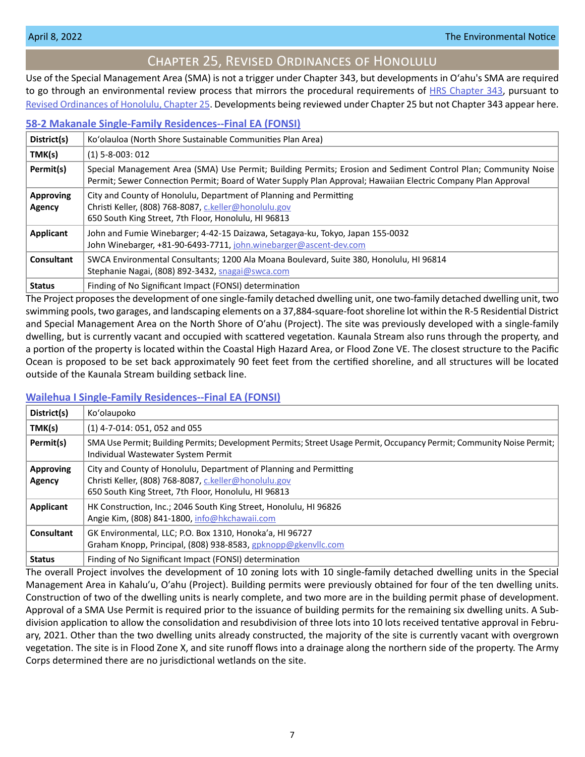# Chapter 25, Revised Ordinances of Honolulu

<span id="page-6-0"></span>Use of the Special Management Area (SMA) is not a trigger under Chapter 343, but developments in Oʻahu's SMA are required to go through an environmental review process that mirrors the procedural requirements of [HRS Chapter 343](https://www.capitol.hawaii.gov/hrscurrent/Vol06_Ch0321-0344/HRS0343/HRS_0343-.htm), pursuant to [Revised Ordinances of Honolulu, Chapter 25.](https://www.honolulu.gov/rep/site/ocs/roh/ROH_Chapter_25_article_1_12.pdf) Developments being reviewed under Chapter 25 but not Chapter 343 appear here.

#### **[58-2 Makanale Single-Family Residences--Final EA \(FONSI\)](https://files.hawaii.gov/dbedt/erp/Other_TEN_Publications/2022-04-08-OA-Chapter-25-FEA-58-2-Makanale-Single-Family-Residences.pdf)**

| District(s)                | Ko'olauloa (North Shore Sustainable Communities Plan Area)                                                                                                                                                                      |
|----------------------------|---------------------------------------------------------------------------------------------------------------------------------------------------------------------------------------------------------------------------------|
| TMK(s)                     | $(1)$ 5-8-003: 012                                                                                                                                                                                                              |
| Permit(s)                  | Special Management Area (SMA) Use Permit; Building Permits; Erosion and Sediment Control Plan; Community Noise<br>Permit; Sewer Connection Permit; Board of Water Supply Plan Approval; Hawaiian Electric Company Plan Approval |
| <b>Approving</b><br>Agency | City and County of Honolulu, Department of Planning and Permitting<br>Christi Keller, (808) 768-8087, c.keller@honolulu.gov<br>650 South King Street, 7th Floor, Honolulu, HI 96813                                             |
| Applicant                  | John and Fumie Winebarger; 4-42-15 Daizawa, Setagaya-ku, Tokyo, Japan 155-0032<br>John Winebarger, +81-90-6493-7711, john.winebarger@ascent-dev.com                                                                             |
| Consultant                 | SWCA Environmental Consultants; 1200 Ala Moana Boulevard, Suite 380, Honolulu, HI 96814<br>Stephanie Nagai, (808) 892-3432, snagai@swca.com                                                                                     |
| <b>Status</b>              | Finding of No Significant Impact (FONSI) determination                                                                                                                                                                          |

The Project proposes the development of one single-family detached dwelling unit, one two-family detached dwelling unit, two swimming pools, two garages, and landscaping elements on a 37,884-square-foot shoreline lot within the R-5 Residential District and Special Management Area on the North Shore of O'ahu (Project). The site was previously developed with a single-family dwelling, but is currently vacant and occupied with scattered vegetation. Kaunala Stream also runs through the property, and a portion of the property is located within the Coastal High Hazard Area, or Flood Zone VE. The closest structure to the Pacific Ocean is proposed to be set back approximately 90 feet feet from the certified shoreline, and all structures will be located outside of the Kaunala Stream building setback line.

# **[Wailehua I Single-Family Residences--Final EA \(FONSI\)](https://files.hawaii.gov/dbedt/erp/Other_TEN_Publications/2022-04-08-OA-Chapter-25-FEA-Wailehua-I-Single-Family-Residences.pdf)**

| District(s)                       | Ko'olaupoko                                                                                                                                                                         |
|-----------------------------------|-------------------------------------------------------------------------------------------------------------------------------------------------------------------------------------|
| TMK(s)                            | $(1)$ 4-7-014: 051, 052 and 055                                                                                                                                                     |
| Permit(s)                         | SMA Use Permit; Building Permits; Development Permits; Street Usage Permit, Occupancy Permit; Community Noise Permit;  <br>Individual Wastewater System Permit                      |
| <b>Approving</b><br><b>Agency</b> | City and County of Honolulu, Department of Planning and Permitting<br>Christi Keller, (808) 768-8087, c.keller@honolulu.gov<br>650 South King Street, 7th Floor, Honolulu, HI 96813 |
| Applicant                         | HK Construction, Inc.; 2046 South King Street, Honolulu, HI 96826<br>Angie Kim, (808) 841-1800, info@hkchawaii.com                                                                  |
| Consultant                        | GK Environmental, LLC; P.O. Box 1310, Honoka'a, HI 96727<br>Graham Knopp, Principal, (808) 938-8583, gpknopp@gkenvllc.com                                                           |
| <b>Status</b>                     | Finding of No Significant Impact (FONSI) determination                                                                                                                              |

The overall Project involves the development of 10 zoning lots with 10 single-family detached dwelling units in the Special Management Area in Kahaluʹu, Oʹahu (Project). Building permits were previously obtained for four of the ten dwelling units. Construction of two of the dwelling units is nearly complete, and two more are in the building permit phase of development. Approval of a SMA Use Permit is required prior to the issuance of building permits for the remaining six dwelling units. A Subdivision application to allow the consolidation and resubdivision of three lots into 10 lots received tentative approval in February, 2021. Other than the two dwelling units already constructed, the majority of the site is currently vacant with overgrown vegetation. The site is in Flood Zone X, and site runoff flows into a drainage along the northern side of the property. The Army Corps determined there are no jurisdictional wetlands on the site.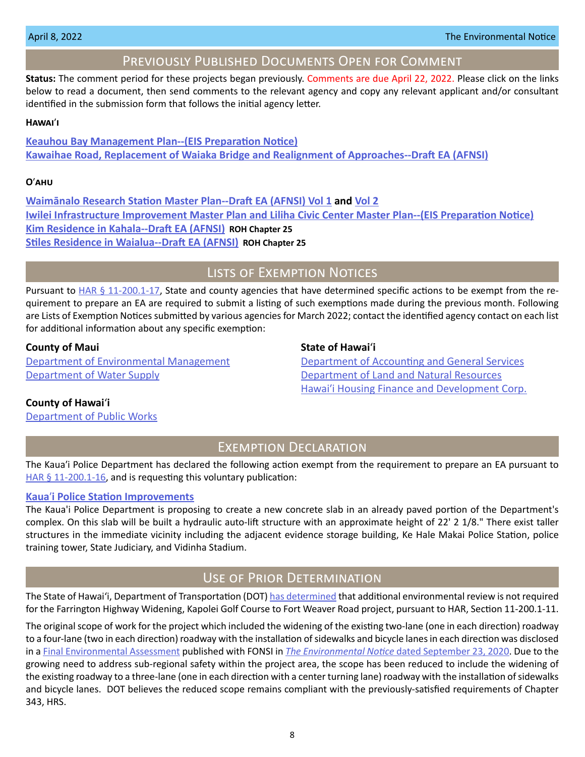# Previously Published Documents Open for Comment

<span id="page-7-0"></span>**Status:** The comment period for these projects began previously. Comments are due April 22, 2022. Please click on the links below to read a document, then send comments to the relevant agency and copy any relevant applicant and/or consultant identified in the submission form that follows the initial agency letter.

#### **Hawai**ʹ**i**

**[Keauhou Bay Management Plan--\(EIS Preparation Notice\)](https://files.hawaii.gov/dbedt/erp/Doc_Library/2022-03-23-HA-EISPN-Keauhou-Bay-Management-Plan.pdf) [Kawaihae Road, Replacement of Waiaka Bridge and Realignment of Approaches--Draft EA \(AFNSI\)](https://files.hawaii.gov/dbedt/erp/Doc_Library/2022-03-23-HA-DEA-Kawaihae-Road-Replacement-of-Waiaka-Bridge-and-Realignment-of-Approaches.pdf)**

#### **O**ʹ**ahu**

**[Waimānalo Research Station Master Plan--Draft EA \(AFNSI\) Vol 1](https://files.hawaii.gov/dbedt/erp/Doc_Library/2022-03-23-OA-DEA-Waimanalo-Research-Station-Master-Plan-Vol-1.pdf) and [Vol 2](https://files.hawaii.gov/dbedt/erp/Doc_Library/2022-03-23-OA-DEA-Waimanalo-Research-Station-Master-Plan-Vol-2.pdf) [Iwilei Infrastructure Improvement Master Plan and Liliha Civic Center Master Plan--\(EIS Preparation Notice\)](https://files.hawaii.gov/dbedt/erp/Doc_Library/2022-03-23-OA-EISPN-Iwilei-Infrastructure-Improvement-MP-and-Liliha-Civic-Center-MP.pdf) [Kim Residence in Kahala-](https://files.hawaii.gov/dbedt/erp/Other_TEN_Publications/2022-03-23-OA-Chapter-25-DEA-Kim-Residence-in-Kahala.pdf)-Draft EA (AFNSI) ROH Chapter 25 [Stiles Residence in Waialua--Draft EA \(AFNSI\)](https://files.hawaii.gov/dbedt/erp/Other_TEN_Publications/2022-03-23-OA-Chapter-25-DEA-Stiles-Residence-in-Waialua.pdf) ROH Chapter 25**

# Lists of Exemption Notices

Pursuant to  $HAR \frac{6}{9}$  11-200.1-17, State and county agencies that have determined specific actions to be exempt from the requirement to prepare an EA are required to submit a listing of such exemptions made during the previous month. Following are Lists of Exemption Notices submitted by various agencies for March 2022; contact the identified agency contact on each list for additional information about any specific exemption:

# **County of Maui State of Hawai**<sup>'</sup>i

[Department of Water Supply](https://files.hawaii.gov/dbedt/erp/List_Ex_Notice/2022-04-08-COM-DWS-List-of-Exemptions-Mar-2022.pdf) [Department of Land and Natural Resources](https://files.hawaii.gov/dbedt/erp/List_Ex_Notice/2022-04-08-SOH-DLNR-List-of-Exemptions-Mar-2022.pdf)

[Department of Environmental Management](https://files.hawaii.gov/dbedt/erp/List_Ex_Notice/2022-04-08-COM-DEM-List-of-Exemptions-Mar-2022.pdf) [Department of Accounting and General Services](https://files.hawaii.gov/dbedt/erp/List_Ex_Notice/2022-04-08-SOH-DAGS-List-of-Exemptions-Mar-2022.pdf) Hawai'i Housing Finance and Development Corp.

#### **County of Hawai**ʻ**i**

[Department of Public Works](https://files.hawaii.gov/dbedt/erp/List_Ex_Notice/2022-04-08-COH-DPW-List-of-Exemptions-Mar-2022.pdf)

# Exemption Declaration

The Kaua'i Police Department has declared the following action exempt from the requirement to prepare an EA pursuant to [HAR § 11-200.1-16,](https://health.hawaii.gov/opppd/files/2019/08/11-200.1.pdf) and is requesting this voluntary publication:

#### **Kaua**ʹ**[i Police Station Improvements](https://files.hawaii.gov/dbedt/erp/Other_TEN_Publications/2022-04-08-KA-Exemption-Kauai-Police-Station-Improvements.pdf)**

The Kaua'i Police Department is proposing to create a new concrete slab in an already paved portion of the Department's complex. On this slab will be built a hydraulic auto-lift structure with an approximate height of 22' 2 1/8." There exist taller structures in the immediate vicinity including the adjacent evidence storage building, Ke Hale Makai Police Station, police training tower, State Judiciary, and Vidinha Stadium.

# Use of Prior Determination

The State of Hawai'i, Department of Transportation (DOT) [has determined](https://files.hawaii.gov/dbedt/erp/Other_TEN_Publications/2022-04-08-OA-Prior-Determination-DOT-Farrington-Highway-Widening.pdf) that additional environmental review is not required for the Farrington Highway Widening, Kapolei Golf Course to Fort Weaver Road project, pursuant to HAR, Section 11-200.1-11.

The original scope of work for the project which included the widening of the existing two-lane (one in each direction) roadway to a four-lane (two in each direction) roadway with the installation of sidewalks and bicycle lanes in each direction was disclosed in a [Final Environmental Assessment](https://files.hawaii.gov/dbedt/erp/Doc_Library/2020-09-23-OA-FEA-Farrington-Highway-Improvements.pdf) published with FONSI in *The Environmental Notice* [dated September 23, 2020](https://files.hawaii.gov/dbedt/erp/The_Environmental_Notice/2020-09-23-TEN.pdf). Due to the growing need to address sub-regional safety within the project area, the scope has been reduced to include the widening of the existing roadway to a three-lane (one in each direction with a center turning lane) roadway with the installation of sidewalks and bicycle lanes. DOT believes the reduced scope remains compliant with the previously-satisfied requirements of Chapter 343, HRS.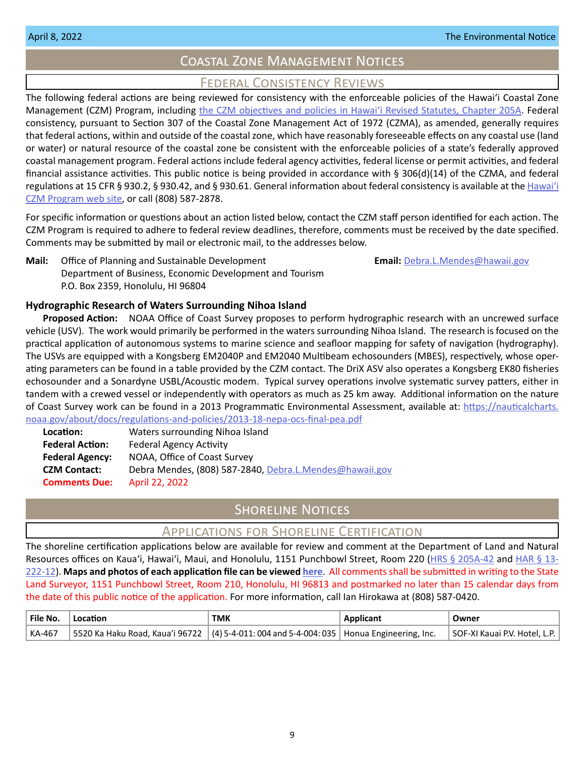# Coastal Zone Management Notices

# Federal Consistency Reviews

<span id="page-8-0"></span>The following federal actions are being reviewed for consistency with the enforceable policies of the Hawaiʻi Coastal Zone Management (CZM) Program, including [the CZM objectives and policies in Hawaiʻi Revised Statutes, Chapter 205A.](https://www.capitol.hawaii.gov/hrscurrent/Vol04_Ch0201-0257/HRS0205A/HRS_0205A-0002.htm) Federal consistency, pursuant to Section 307 of the Coastal Zone Management Act of 1972 (CZMA), as amended, generally requires that federal actions, within and outside of the coastal zone, which have reasonably foreseeable effects on any coastal use (land or water) or natural resource of the coastal zone be consistent with the enforceable policies of a state's federally approved coastal management program. Federal actions include federal agency activities, federal license or permit activities, and federal financial assistance activities. This public notice is being provided in accordance with § 306(d)(14) of the CZMA, and federal regulations at 15 CFR § 930.2, § 930.42, and § 930.61. General information about federal consistency is available at the [Hawai](http://planning.hawaii.gov/czm/federal-consistency/)ʻi [CZM Program web site,](http://planning.hawaii.gov/czm/federal-consistency/) or call (808) 587-2878.

For specific information or questions about an action listed below, contact the CZM staff person identified for each action. The CZM Program is required to adhere to federal review deadlines, therefore, comments must be received by the date specified. Comments may be submitted by mail or electronic mail, to the addresses below.

**Mail:** Office of Planning and Sustainable Development **Email: [Debra.L.Mendes@hawaii.gov](mailto:Debra.L.Mendes%40hawaii.gov?subject=)** Department of Business, Economic Development and Tourism P.O. Box 2359, Honolulu, HI 96804

# **Hydrographic Research of Waters Surrounding Nihoa Island**

**Proposed Action:** NOAA Office of Coast Survey proposes to perform hydrographic research with an uncrewed surface vehicle (USV). The work would primarily be performed in the waters surrounding Nihoa Island. The research is focused on the practical application of autonomous systems to marine science and seafloor mapping for safety of navigation (hydrography). The USVs are equipped with a Kongsberg EM2040P and EM2040 Multibeam echosounders (MBES), respectively, whose operating parameters can be found in a table provided by the CZM contact. The DriX ASV also operates a Kongsberg EK80 fisheries echosounder and a Sonardyne USBL/Acoustic modem. Typical survey operations involve systematic survey patters, either in tandem with a crewed vessel or independently with operators as much as 25 km away. Additional information on the nature of Coast Survey work can be found in a 2013 Programmatic Environmental Assessment, available at: [https://nauticalcharts.](https://nauticalcharts.noaa.gov/about/docs/regulations-and-policies/2013-18-nepa-ocs-final-pea.pdf) [noaa.gov/about/docs/regulations-and-policies/2013-18-nepa-ocs-final-pea.pdf](https://nauticalcharts.noaa.gov/about/docs/regulations-and-policies/2013-18-nepa-ocs-final-pea.pdf)

| Location:              | Waters surrounding Nihoa Island                         |
|------------------------|---------------------------------------------------------|
| <b>Federal Action:</b> | <b>Federal Agency Activity</b>                          |
| <b>Federal Agency:</b> | NOAA, Office of Coast Survey                            |
| <b>CZM Contact:</b>    | Debra Mendes, (808) 587-2840, Debra.L.Mendes@hawaii.gov |
| <b>Comments Due:</b>   | April 22, 2022                                          |

# **SHORELINE NOTICES**

# Applications for Shoreline Certification

The shoreline certification applications below are available for review and comment at the Department of Land and Natural Resources offices on Kaua'i, Hawai'i, Maui, and Honolulu, 1151 Punchbowl Street, Room 220 ([HRS § 205A-42](https://www.capitol.hawaii.gov/hrscurrent/Vol04_Ch0201-0257/HRS0205A/HRS_0205A-0042.htm) and [HAR § 13-](https://dlnr.hawaii.gov/ld/files/2013/07/Ch13-222-Amend-Compil-Stand-Rev1.pdf) [222-12](https://dlnr.hawaii.gov/ld/files/2013/07/Ch13-222-Amend-Compil-Stand-Rev1.pdf)). **Maps and photos of each application file can be viewed [here](https://ags.hawaii.gov/survey/shoreline/#apps)**. All comments shall be submitted in writing to the State Land Surveyor, 1151 Punchbowl Street, Room 210, Honolulu, HI 96813 and postmarked no later than 15 calendar days from the date of this public notice of the application. For more information, call Ian Hirokawa at (808) 587-0420.

| $^{\mathrm{t}}$ File No. | Location                                                                                      | <b>TMK</b> | <b>Applicant</b> | Owner                         |
|--------------------------|-----------------------------------------------------------------------------------------------|------------|------------------|-------------------------------|
| KA-467                   | 5520 Ka Haku Road, Kaua'i 96722   (4) 5-4-011: 004 and 5-4-004: 035   Honua Engineering, Inc. |            |                  | SOF-XI Kauai P.V. Hotel, L.P. |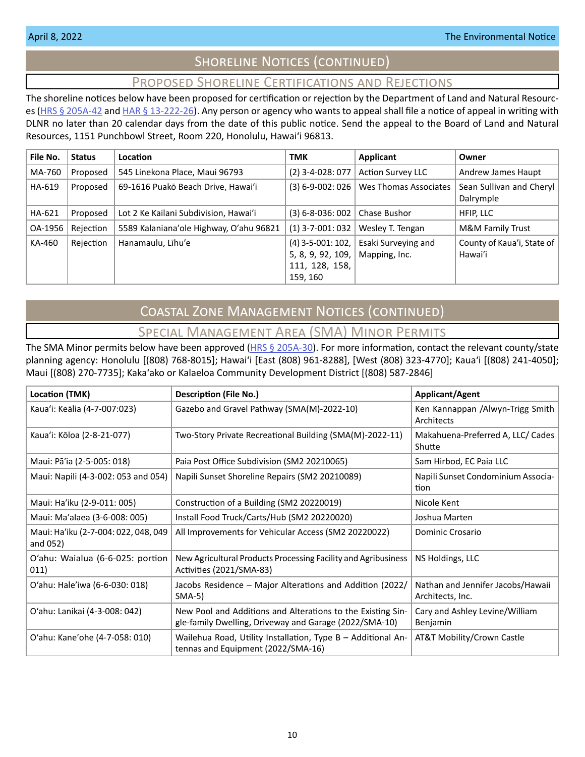# SHORELINE NOTICES (CONTINUED)

# Proposed Shoreline Certifications and Rejections

<span id="page-9-0"></span>The shoreline notices below have been proposed for certification or rejection by the Department of Land and Natural Resourc-es [\(HRS § 205A-42](http://HRS § 205A-42) and [HAR § 13-222-26\)](https://dlnr.hawaii.gov/ld/files/2013/07/Ch13-222-Amend-Compil-Stand-Rev1.pdf). Any person or agency who wants to appeal shall file a notice of appeal in writing with DLNR no later than 20 calendar days from the date of this public notice. Send the appeal to the Board of Land and Natural Resources, 1151 Punchbowl Street, Room 220, Honolulu, Hawai'i 96813.

| File No. | <b>Status</b> | Location                                | <b>TMK</b>                                                             | Applicant                            | Owner                                 |
|----------|---------------|-----------------------------------------|------------------------------------------------------------------------|--------------------------------------|---------------------------------------|
| MA-760   | Proposed      | 545 Linekona Place, Maui 96793          | $(2)$ 3-4-028: 077                                                     | <b>Action Survey LLC</b>             | Andrew James Haupt                    |
| HA-619   | Proposed      | 69-1616 Puakō Beach Drive, Hawai'i      | $(3) 6 - 9 - 002: 026$                                                 | Wes Thomas Associates                | Sean Sullivan and Cheryl<br>Dalrymple |
| HA-621   | Proposed      | Lot 2 Ke Kailani Subdivision, Hawai'i   | $(3) 6 - 8 - 036$ : 002                                                | Chase Bushor                         | HFIP, LLC                             |
| OA-1956  | Rejection     | 5589 Kalaniana'ole Highway, O'ahu 96821 | $(1)$ 3-7-001: 032                                                     | Wesley T. Tengan                     | M&M Family Trust                      |
| KA-460   | Rejection     | Hanamaulu, Līhu'e                       | $(4)$ 3-5-001: 102,<br>5, 8, 9, 92, 109,<br>111, 128, 158,<br>159, 160 | Esaki Surveying and<br>Mapping, Inc. | County of Kaua'i, State of<br>Hawai'i |

# Coastal Zone Management Notices (continued)

# Special Management Area (SMA) Minor Permits

The SMA Minor permits below have been approved ( $HRS \S 205A-30$ ). For more information, contact the relevant county/state planning agency: Honolulu [(808) 768-8015]; Hawaiʻi [East (808) 961-8288], [West (808) 323-4770]; Kauaʻi [(808) 241-4050]; Maui [(808) 270-7735]; Kakaʻako or Kalaeloa Community Development District [(808) 587-2846]

| Location (TMK)                                   | <b>Description (File No.)</b>                                                                                         | <b>Applicant/Agent</b>                                |
|--------------------------------------------------|-----------------------------------------------------------------------------------------------------------------------|-------------------------------------------------------|
| Kaua'i: Keālia (4-7-007:023)                     | Gazebo and Gravel Pathway (SMA(M)-2022-10)                                                                            | Ken Kannappan /Alwyn-Trigg Smith<br>Architects        |
| Kaua'i: Kōloa (2-8-21-077)                       | Two-Story Private Recreational Building (SMA(M)-2022-11)                                                              | Makahuena-Preferred A, LLC/ Cades<br>Shutte           |
| Maui: Pā'ia (2-5-005: 018)                       | Paia Post Office Subdivision (SM2 20210065)                                                                           | Sam Hirbod, EC Paia LLC                               |
| Maui: Napili (4-3-002: 053 and 054)              | Napili Sunset Shoreline Repairs (SM2 20210089)                                                                        | Napili Sunset Condominium Associa-<br>tion            |
| Maui: Ha'iku (2-9-011: 005)                      | Construction of a Building (SM2 20220019)                                                                             | Nicole Kent                                           |
| Maui: Ma'alaea (3-6-008: 005)                    | Install Food Truck/Carts/Hub (SM2 20220020)                                                                           | Joshua Marten                                         |
| Maui: Ha'iku (2-7-004: 022, 048, 049<br>and 052) | All Improvements for Vehicular Access (SM2 20220022)                                                                  | Dominic Crosario                                      |
| O'ahu: Waialua (6-6-025: portion<br>011)         | New Agricultural Products Processing Facility and Agribusiness<br>Activities (2021/SMA-83)                            | NS Holdings, LLC                                      |
| O'ahu: Hale'iwa (6-6-030: 018)                   | Jacobs Residence - Major Alterations and Addition (2022/<br>$SMA-5)$                                                  | Nathan and Jennifer Jacobs/Hawaii<br>Architects, Inc. |
| O'ahu: Lanikai (4-3-008: 042)                    | New Pool and Additions and Alterations to the Existing Sin-<br>gle-family Dwelling, Driveway and Garage (2022/SMA-10) | Cary and Ashley Levine/William<br>Benjamin            |
| O'ahu: Kane'ohe (4-7-058: 010)                   | Wailehua Road, Utility Installation, Type B - Additional An-<br>tennas and Equipment (2022/SMA-16)                    | AT&T Mobility/Crown Castle                            |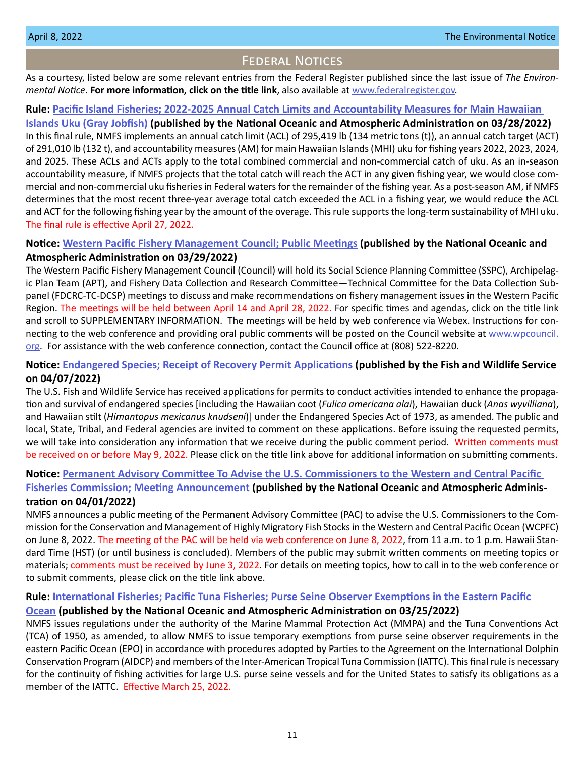# Federal Notices

<span id="page-10-0"></span>As a courtesy, listed below are some relevant entries from the Federal Register published since the last issue of *The Environmental Notice*. **For more information, click on the title link**, also available at [www.federalregister.gov](http://www.federalregister.gov).

#### **Rule: [Pacific Island Fisheries; 2022-2025 Annual Catch Limits and Accountability Measures for Main Hawaiian](https://www.federalregister.gov/documents/2022/03/28/2022-06285/pacific-island-fisheries-2022-2025-annual-catch-limits-and-accountability-measures-for-main-hawaiian)**

**[Islands Uku \(Gray Jobfish\)](https://www.federalregister.gov/documents/2022/03/28/2022-06285/pacific-island-fisheries-2022-2025-annual-catch-limits-and-accountability-measures-for-main-hawaiian) (published by the National Oceanic and Atmospheric Administration on 03/28/2022)** In this final rule, NMFS implements an annual catch limit (ACL) of 295,419 lb (134 metric tons (t)), an annual catch target (ACT) of 291,010 lb (132 t), and accountability measures (AM) for main Hawaiian Islands (MHI) uku for fishing years 2022, 2023, 2024, and 2025. These ACLs and ACTs apply to the total combined commercial and non-commercial catch of uku. As an in-season accountability measure, if NMFS projects that the total catch will reach the ACT in any given fishing year, we would close commercial and non-commercial uku fisheries in Federal waters for the remainder of the fishing year. As a post-season AM, if NMFS determines that the most recent three-year average total catch exceeded the ACL in a fishing year, we would reduce the ACL and ACT for the following fishing year by the amount of the overage. This rule supports the long-term sustainability of MHI uku. The final rule is effective April 27, 2022.

# **Notice: [Western Pacific Fishery Management Council; Public Meetings](https://www.federalregister.gov/documents/2022/03/29/2022-06555/western-pacific-fishery-management-council-public-meetings) (published by the National Oceanic and Atmospheric Administration on 03/29/2022)**

The Western Pacific Fishery Management Council (Council) will hold its Social Science Planning Committee (SSPC), Archipelagic Plan Team (APT), and Fishery Data Collection and Research Committee—Technical Committee for the Data Collection Subpanel (FDCRC-TC-DCSP) meetings to discuss and make recommendations on fishery management issues in the Western Pacific Region. The meetings will be held between April 14 and April 28, 2022. For specific times and agendas, click on the title link and scroll to SUPPLEMENTARY INFORMATION. The meetings will be held by web conference via Webex. Instructions for connecting to the web conference and providing oral public comments will be posted on the Council website at [www.wpcouncil.](http://www.wpcouncil.org) [org](http://www.wpcouncil.org). For assistance with the web conference connection, contact the Council office at (808) 522-8220.

# **Notice: [Endangered Species; Receipt of Recovery Permit Applications](https://www.federalregister.gov/documents/2022/04/07/2022-07366/endangered-species-receipt-of-recovery-permit-applications) (published by the Fish and Wildlife Service on 04/07/2022)**

The U.S. Fish and Wildlife Service has received applications for permits to conduct activities intended to enhance the propagation and survival of endangered species [including the Hawaiian coot (*Fulica americana alai*), Hawaiian duck (*Anas wyvilliana*), and Hawaiian stilt (*Himantopus mexicanus knudseni*)] under the Endangered Species Act of 1973, as amended. The public and local, State, Tribal, and Federal agencies are invited to comment on these applications. Before issuing the requested permits, we will take into consideration any information that we receive during the public comment period. Written comments must be received on or before May 9, 2022. Please click on the title link above for additional information on submitting comments.

#### **Notice: [Permanent Advisory Committee To Advise the U.S. Commissioners to the Western and Central Pacific](https://www.federalregister.gov/documents/2022/04/01/2022-06901/permanent-advisory-committee-to-advise-the-us-commissioners-to-the-western-and-central-pacific)**

# **[Fisheries Commission; Meeting Announcement](https://www.federalregister.gov/documents/2022/04/01/2022-06901/permanent-advisory-committee-to-advise-the-us-commissioners-to-the-western-and-central-pacific) (published by the National Oceanic and Atmospheric Administration on 04/01/2022)**

NMFS announces a public meeting of the Permanent Advisory Committee (PAC) to advise the U.S. Commissioners to the Commission for the Conservation and Management of Highly Migratory Fish Stocks in the Western and Central Pacific Ocean (WCPFC) on June 8, 2022. The meeting of the PAC will be held via web conference on June 8, 2022, from 11 a.m. to 1 p.m. Hawaii Standard Time (HST) (or until business is concluded). Members of the public may submit written comments on meeting topics or materials; comments must be received by June 3, 2022. For details on meeting topics, how to call in to the web conference or to submit comments, please click on the title link above.

#### **Rule: [International Fisheries; Pacific Tuna Fisheries; Purse Seine Observer Exemptions in the Eastern Pacific](https://www.federalregister.gov/documents/2022/03/25/2022-06337/international-fisheries-pacific-tuna-fisheries-purse-seine-observer-exemptions-in-the-eastern)**

# **[Ocean](https://www.federalregister.gov/documents/2022/03/25/2022-06337/international-fisheries-pacific-tuna-fisheries-purse-seine-observer-exemptions-in-the-eastern) (published by the National Oceanic and Atmospheric Administration on 03/25/2022)**

NMFS issues regulations under the authority of the Marine Mammal Protection Act (MMPA) and the Tuna Conventions Act (TCA) of 1950, as amended, to allow NMFS to issue temporary exemptions from purse seine observer requirements in the eastern Pacific Ocean (EPO) in accordance with procedures adopted by Parties to the Agreement on the International Dolphin Conservation Program (AIDCP) and members of the Inter-American Tropical Tuna Commission (IATTC). This final rule is necessary for the continuity of fishing activities for large U.S. purse seine vessels and for the United States to satisfy its obligations as a member of the IATTC. Effective March 25, 2022.